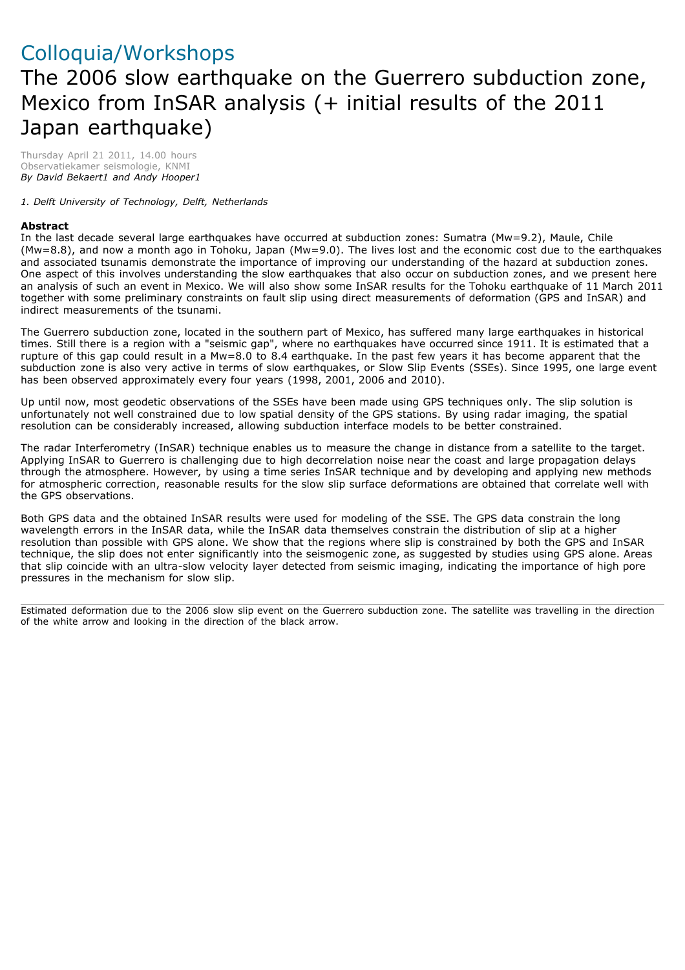## Colloquia/Workshops The 2006 slow earthquake on the Guerrero subduction zone, Mexico from InSAR analysis (+ initial results of the 2011 Japan earthquake)

Thursday April 21 2011, 14.00 hours Observatiekamer seismologie, KNMI *By David Bekaert1 and Andy Hooper1*

*1. Delft University of Technology, Delft, Netherlands*

## **Abstract**

In the last decade several large earthquakes have occurred at subduction zones: Sumatra (Mw=9.2), Maule, Chile (Mw=8.8), and now a month ago in Tohoku, Japan (Mw=9.0). The lives lost and the economic cost due to the earthquakes and associated tsunamis demonstrate the importance of improving our understanding of the hazard at subduction zones. One aspect of this involves understanding the slow earthquakes that also occur on subduction zones, and we present here an analysis of such an event in Mexico. We will also show some InSAR results for the Tohoku earthquake of 11 March 2011 together with some preliminary constraints on fault slip using direct measurements of deformation (GPS and InSAR) and indirect measurements of the tsunami.

The Guerrero subduction zone, located in the southern part of Mexico, has suffered many large earthquakes in historical times. Still there is a region with a "seismic gap", where no earthquakes have occurred since 1911. It is estimated that a rupture of this gap could result in a Mw=8.0 to 8.4 earthquake. In the past few years it has become apparent that the subduction zone is also very active in terms of slow earthquakes, or Slow Slip Events (SSEs). Since 1995, one large event has been observed approximately every four years (1998, 2001, 2006 and 2010).

Up until now, most geodetic observations of the SSEs have been made using GPS techniques only. The slip solution is unfortunately not well constrained due to low spatial density of the GPS stations. By using radar imaging, the spatial resolution can be considerably increased, allowing subduction interface models to be better constrained.

The radar Interferometry (InSAR) technique enables us to measure the change in distance from a satellite to the target. Applying InSAR to Guerrero is challenging due to high decorrelation noise near the coast and large propagation delays through the atmosphere. However, by using a time series InSAR technique and by developing and applying new methods for atmospheric correction, reasonable results for the slow slip surface deformations are obtained that correlate well with the GPS observations.

Both GPS data and the obtained InSAR results were used for modeling of the SSE. The GPS data constrain the long wavelength errors in the InSAR data, while the InSAR data themselves constrain the distribution of slip at a higher resolution than possible with GPS alone. We show that the regions where slip is constrained by both the GPS and InSAR technique, the slip does not enter significantly into the seismogenic zone, as suggested by studies using GPS alone. Areas that slip coincide with an ultra-slow velocity layer detected from seismic imaging, indicating the importance of high pore pressures in the mechanism for slow slip.

Estimated deformation due to the 2006 slow slip event on the Guerrero subduction zone. The satellite was travelling in the direction of the white arrow and looking in the direction of the black arrow.